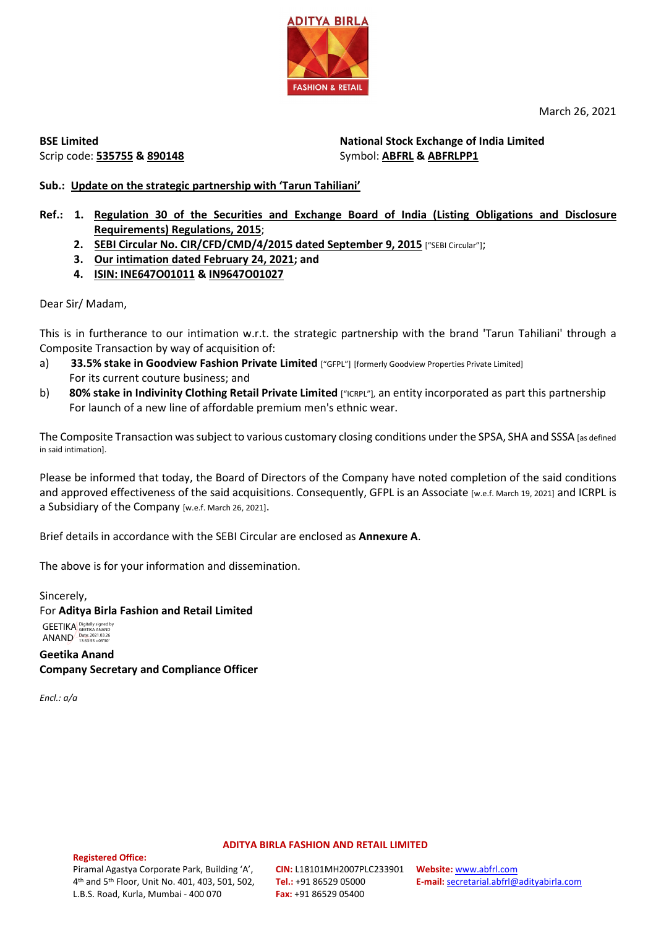

March 26, 2021

**BSE Limited** Scrip code: **535755 & 890148** **National Stock Exchange of India Limited**  Symbol: **ABFRL & ABFRLPP1**

# **Sub.: Update on the strategic partnership with 'Tarun Tahiliani'**

- **Ref.: 1. Regulation 30 of the Securities and Exchange Board of India (Listing Obligations and Disclosure Requirements) Regulations, 2015**;
	- 2. SEBI Circular No. CIR/CFD/CMD/4/2015 dated September 9, 2015 ["SEBI Circular"];
	- **3. Our intimation dated February 24, 2021; and**
	- **4. ISIN: INE647O01011 & IN9647O01027**

Dear Sir/ Madam,

This is in furtherance to our intimation w.r.t. the strategic partnership with the brand 'Tarun Tahiliani' through a Composite Transaction by way of acquisition of:

- a) **33.5% stake in Goodview Fashion Private Limited** ["GFPL"] [formerly Goodview Properties Private Limited] For its current couture business; and
- **b) 80% stake in Indivinity Clothing Retail Private Limited** ["ICRPL"], an entity incorporated as part this partnership For launch of a new line of affordable premium men's ethnic wear.

The Composite Transaction was subject to various customary closing conditions under the SPSA, SHA and SSSA [as defined in said intimation].

Please be informed that today, the Board of Directors of the Company have noted completion of the said conditions and approved effectiveness of the said acquisitions. Consequently, GFPL is an Associate [w.e.f. March 19, 2021] and ICRPL is a Subsidiary of the Company [w.e.f. March 26, 2021].

Brief details in accordance with the SEBI Circular are enclosed as **Annexure A**.

The above is for your information and dissemination.

Sincerely, For **Aditya Birla Fashion and Retail Limited** GEETIKA Digitally signed by ANAND Date: 2021.03.26

**Geetika Anand Company Secretary and Compliance Officer** 

*Encl.: a/a* 

#### **ADITYA BIRLA FASHION AND RETAIL LIMITED**

**Registered Office:**  Piramal Agastya Corporate Park, Building 'A', 4th and 5th Floor, Unit No. 401, 403, 501, 502, L.B.S. Road, Kurla, Mumbai - 400 070

**CIN:** L18101MH2007PLC233901 **Tel.:** +91 86529 05000 **Fax:** +91 86529 05400